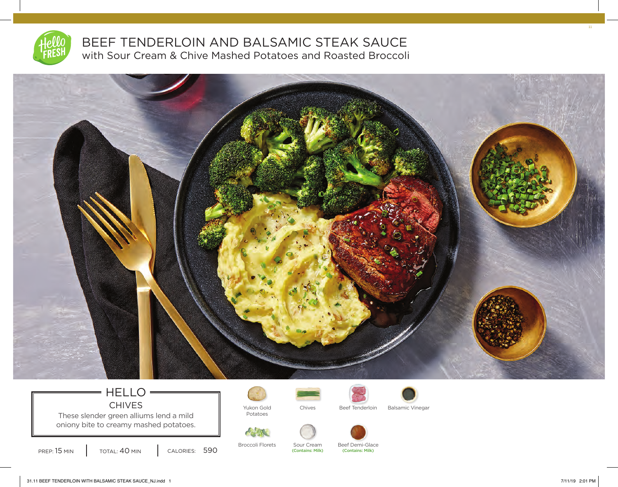

## BEEF TENDERLOIN AND BALSAMIC STEAK SAUCE with Sour Cream & Chive Mashed Potatoes and Roasted Broccoli



## HELLO CHIVES **I** Yukon Gold

These slender green alliums lend a mild oniony bite to creamy mashed potatoes.

PREP: 15 MIN | TOTAL: 40 MIN | CALORIES: 590

Potatoes



Chives Beef Tenderloin Balsamic Vinegar



Broccoli Florets Sour Cream Beef Demi-Glace<br>
Contains: Milk) (Contains: Milk) (Contains: Milk) (Contains: Milk)

11